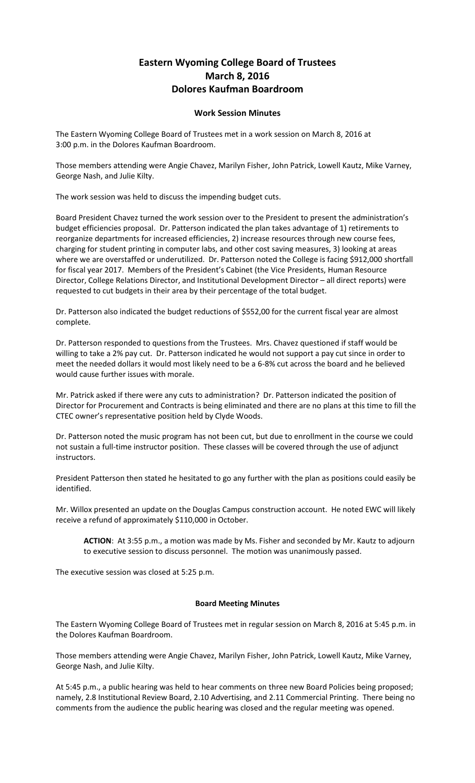## **Eastern Wyoming College Board of Trustees March 8, 2016 Dolores Kaufman Boardroom**

## **Work Session Minutes**

The Eastern Wyoming College Board of Trustees met in a work session on March 8, 2016 at 3:00 p.m. in the Dolores Kaufman Boardroom.

Those members attending were Angie Chavez, Marilyn Fisher, John Patrick, Lowell Kautz, Mike Varney, George Nash, and Julie Kilty.

The work session was held to discuss the impending budget cuts.

Board President Chavez turned the work session over to the President to present the administration's budget efficiencies proposal. Dr. Patterson indicated the plan takes advantage of 1) retirements to reorganize departments for increased efficiencies, 2) increase resources through new course fees, charging for student printing in computer labs, and other cost saving measures, 3) looking at areas where we are overstaffed or underutilized. Dr. Patterson noted the College is facing \$912,000 shortfall for fiscal year 2017. Members of the President's Cabinet (the Vice Presidents, Human Resource Director, College Relations Director, and Institutional Development Director – all direct reports) were requested to cut budgets in their area by their percentage of the total budget.

Dr. Patterson also indicated the budget reductions of \$552,00 for the current fiscal year are almost complete.

Dr. Patterson responded to questions from the Trustees. Mrs. Chavez questioned if staff would be willing to take a 2% pay cut. Dr. Patterson indicated he would not support a pay cut since in order to meet the needed dollars it would most likely need to be a 6-8% cut across the board and he believed would cause further issues with morale.

Mr. Patrick asked if there were any cuts to administration? Dr. Patterson indicated the position of Director for Procurement and Contracts is being eliminated and there are no plans at this time to fill the CTEC owner's representative position held by Clyde Woods.

Dr. Patterson noted the music program has not been cut, but due to enrollment in the course we could not sustain a full-time instructor position. These classes will be covered through the use of adjunct instructors.

President Patterson then stated he hesitated to go any further with the plan as positions could easily be identified.

Mr. Willox presented an update on the Douglas Campus construction account. He noted EWC will likely receive a refund of approximately \$110,000 in October.

**ACTION**: At 3:55 p.m., a motion was made by Ms. Fisher and seconded by Mr. Kautz to adjourn to executive session to discuss personnel. The motion was unanimously passed.

The executive session was closed at 5:25 p.m.

## **Board Meeting Minutes**

The Eastern Wyoming College Board of Trustees met in regular session on March 8, 2016 at 5:45 p.m. in the Dolores Kaufman Boardroom.

Those members attending were Angie Chavez, Marilyn Fisher, John Patrick, Lowell Kautz, Mike Varney, George Nash, and Julie Kilty.

At 5:45 p.m., a public hearing was held to hear comments on three new Board Policies being proposed; namely, 2.8 Institutional Review Board, 2.10 Advertising, and 2.11 Commercial Printing. There being no comments from the audience the public hearing was closed and the regular meeting was opened.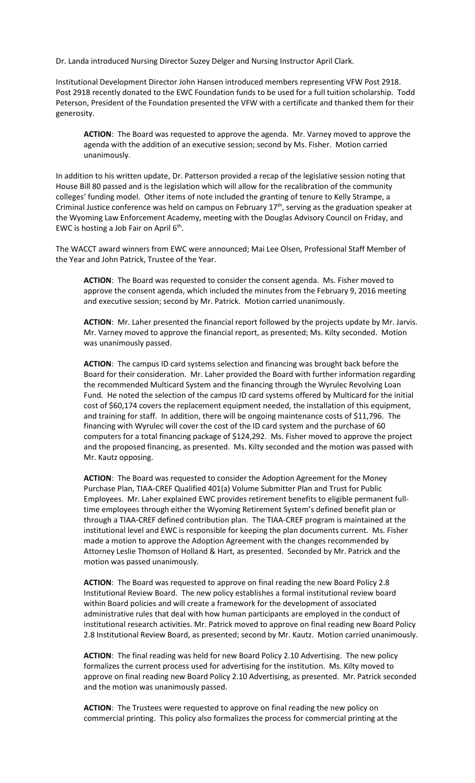Dr. Landa introduced Nursing Director Suzey Delger and Nursing Instructor April Clark.

Institutional Development Director John Hansen introduced members representing VFW Post 2918. Post 2918 recently donated to the EWC Foundation funds to be used for a full tuition scholarship. Todd Peterson, President of the Foundation presented the VFW with a certificate and thanked them for their generosity.

**ACTION**: The Board was requested to approve the agenda. Mr. Varney moved to approve the agenda with the addition of an executive session; second by Ms. Fisher. Motion carried unanimously.

In addition to his written update, Dr. Patterson provided a recap of the legislative session noting that House Bill 80 passed and is the legislation which will allow for the recalibration of the community colleges' funding model. Other items of note included the granting of tenure to Kelly Strampe, a Criminal Justice conference was held on campus on February  $17<sup>th</sup>$ , serving as the graduation speaker at the Wyoming Law Enforcement Academy, meeting with the Douglas Advisory Council on Friday, and EWC is hosting a Job Fair on April  $6<sup>th</sup>$ .

The WACCT award winners from EWC were announced; Mai Lee Olsen, Professional Staff Member of the Year and John Patrick, Trustee of the Year.

**ACTION**: The Board was requested to consider the consent agenda. Ms. Fisher moved to approve the consent agenda, which included the minutes from the February 9, 2016 meeting and executive session; second by Mr. Patrick. Motion carried unanimously.

**ACTION**: Mr. Laher presented the financial report followed by the projects update by Mr. Jarvis. Mr. Varney moved to approve the financial report, as presented; Ms. Kilty seconded. Motion was unanimously passed.

**ACTION**: The campus ID card systems selection and financing was brought back before the Board for their consideration. Mr. Laher provided the Board with further information regarding the recommended Multicard System and the financing through the Wyrulec Revolving Loan Fund. He noted the selection of the campus ID card systems offered by Multicard for the initial cost of \$60,174 covers the replacement equipment needed, the installation of this equipment, and training for staff. In addition, there will be ongoing maintenance costs of \$11,796. The financing with Wyrulec will cover the cost of the ID card system and the purchase of 60 computers for a total financing package of \$124,292. Ms. Fisher moved to approve the project and the proposed financing, as presented. Ms. Kilty seconded and the motion was passed with Mr. Kautz opposing.

**ACTION**: The Board was requested to consider the Adoption Agreement for the Money Purchase Plan, TIAA-CREF Qualified 401(a) Volume Submitter Plan and Trust for Public Employees. Mr. Laher explained EWC provides retirement benefits to eligible permanent fulltime employees through either the Wyoming Retirement System's defined benefit plan or through a TIAA-CREF defined contribution plan. The TIAA-CREF program is maintained at the institutional level and EWC is responsible for keeping the plan documents current. Ms. Fisher made a motion to approve the Adoption Agreement with the changes recommended by Attorney Leslie Thomson of Holland & Hart, as presented. Seconded by Mr. Patrick and the motion was passed unanimously.

**ACTION**: The Board was requested to approve on final reading the new Board Policy 2.8 Institutional Review Board. The new policy establishes a formal institutional review board within Board policies and will create a framework for the development of associated administrative rules that deal with how human participants are employed in the conduct of institutional research activities. Mr. Patrick moved to approve on final reading new Board Policy 2.8 Institutional Review Board, as presented; second by Mr. Kautz. Motion carried unanimously.

**ACTION**: The final reading was held for new Board Policy 2.10 Advertising. The new policy formalizes the current process used for advertising for the institution. Ms. Kilty moved to approve on final reading new Board Policy 2.10 Advertising, as presented. Mr. Patrick seconded and the motion was unanimously passed.

**ACTION**: The Trustees were requested to approve on final reading the new policy on commercial printing. This policy also formalizes the process for commercial printing at the